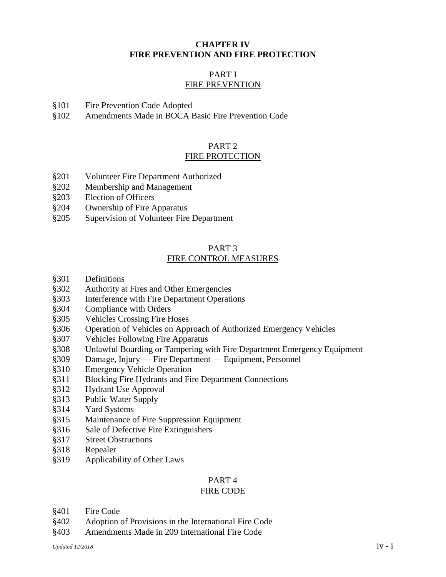### **CHAPTER IV FIRE PREVENTION AND FIRE PROTECTION**

### PART I FIRE PREVENTION

- §101 Fire Prevention Code Adopted
- §102 Amendments Made in BOCA Basic Fire Prevention Code

#### PART 2 FIRE PROTECTION

- §201 Volunteer Fire Department Authorized
- §202 Membership and Management
- §203 Election of Officers
- §204 Ownership of Fire Apparatus
- §205 Supervision of Volunteer Fire Department

#### PART 3 FIRE CONTROL MEASURES

- §301 Definitions
- §302 Authority at Fires and Other Emergencies
- §303 Interference with Fire Department Operations
- §304 Compliance with Orders
- §305 Vehicles Crossing Fire Hoses
- §306 Operation of Vehicles on Approach of Authorized Emergency Vehicles
- §307 Vehicles Following Fire Apparatus
- §308 Unlawful Boarding or Tampering with Fire Department Emergency Equipment
- §309 Damage, Injury Fire Department Equipment, Personnel
- §310 Emergency Vehicle Operation
- §311 Blocking Fire Hydrants and Fire Department Connections
- §312 Hydrant Use Approval
- §313 Public Water Supply
- §314 Yard Systems
- §315 Maintenance of Fire Suppression Equipment
- §316 Sale of Defective Fire Extinguishers
- §317 Street Obstructions
- §318 Repealer
- §319 Applicability of Other Laws

# PART 4

# FIRE CODE

- §401 Fire Code
- §402 Adoption of Provisions in the International Fire Code
- §403 Amendments Made in 209 International Fire Code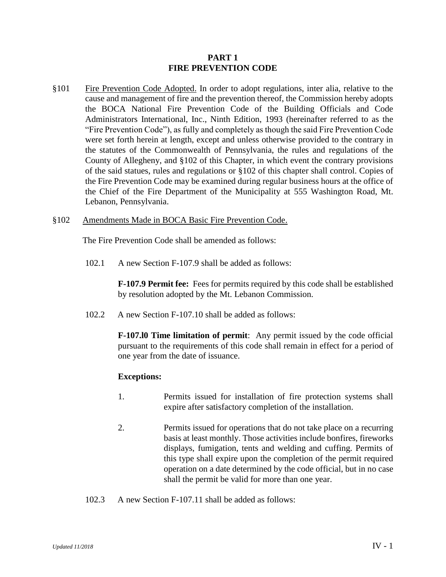#### **PART 1 FIRE PREVENTION CODE**

§101 Fire Prevention Code Adopted. In order to adopt regulations, inter alia, relative to the cause and management of fire and the prevention thereof, the Commission hereby adopts the BOCA National Fire Prevention Code of the Building Officials and Code Administrators International, Inc., Ninth Edition, 1993 (hereinafter referred to as the "Fire Prevention Code"), as fully and completely as though the said Fire Prevention Code were set forth herein at length, except and unless otherwise provided to the contrary in the statutes of the Commonwealth of Pennsylvania, the rules and regulations of the County of Allegheny, and §102 of this Chapter, in which event the contrary provisions of the said statues, rules and regulations or §102 of this chapter shall control. Copies of the Fire Prevention Code may be examined during regular business hours at the office of the Chief of the Fire Department of the Municipality at 555 Washington Road, Mt. Lebanon, Pennsylvania.

#### §102 Amendments Made in BOCA Basic Fire Prevention Code.

The Fire Prevention Code shall be amended as follows:

102.1 A new Section F-107.9 shall be added as follows:

**F-107.9 Permit fee:** Fees for permits required by this code shall be established by resolution adopted by the Mt. Lebanon Commission.

102.2 A new Section F-107.10 shall be added as follows:

**F-107.l0 Time limitation of permit**: Any permit issued by the code official pursuant to the requirements of this code shall remain in effect for a period of one year from the date of issuance.

#### **Exceptions:**

- 1. Permits issued for installation of fire protection systems shall expire after satisfactory completion of the installation.
- 2. Permits issued for operations that do not take place on a recurring basis at least monthly. Those activities include bonfires, fireworks displays, fumigation, tents and welding and cuffing. Permits of this type shall expire upon the completion of the permit required operation on a date determined by the code official, but in no case shall the permit be valid for more than one year.
- 102.3 A new Section F-107.11 shall be added as follows: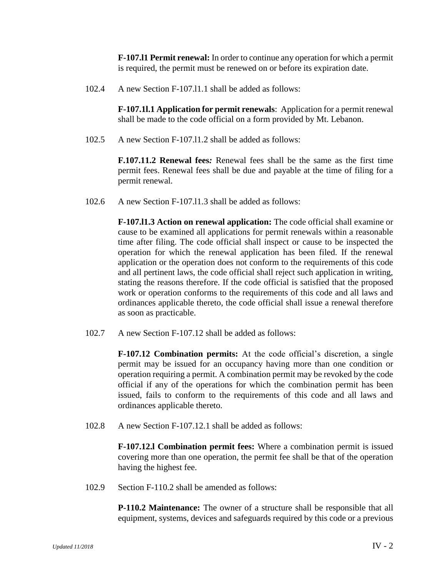**F-107.l1 Permit renewal:** In order to continue any operation for which a permit is required, the permit must be renewed on or before its expiration date.

102.4 A new Section F-107.l1.1 shall be added as follows:

**F-107.1l.1 Application for permit renewals**: Application for a permit renewal shall be made to the code official on a form provided by Mt. Lebanon.

102.5 A new Section F-107.l1.2 shall be added as follows:

**F.107.11.2 Renewal fees***:* Renewal fees shall be the same as the first time permit fees. Renewal fees shall be due and payable at the time of filing for a permit renewal.

102.6 A new Section F-107.l1.3 shall be added as follows:

**F-107.l1.3 Action on renewal application:** The code official shall examine or cause to be examined all applications for permit renewals within a reasonable time after filing. The code official shall inspect or cause to be inspected the operation for which the renewal application has been filed. If the renewal application or the operation does not conform to the requirements of this code and all pertinent laws, the code official shall reject such application in writing, stating the reasons therefore. If the code official is satisfied that the proposed work or operation conforms to the requirements of this code and all laws and ordinances applicable thereto, the code official shall issue a renewal therefore as soon as practicable.

102.7 A new Section F-107.12 shall be added as follows:

**F-107.12 Combination permits:** At the code official's discretion, a single permit may be issued for an occupancy having more than one condition or operation requiring a permit. A combination permit may be revoked by the code official if any of the operations for which the combination permit has been issued, fails to conform to the requirements of this code and all laws and ordinances applicable thereto.

102.8 A new Section F-107.12.1 shall be added as follows:

**F-107.12.l Combination permit fees:** Where a combination permit is issued covering more than one operation, the permit fee shall be that of the operation having the highest fee.

102.9 Section F-110.2 shall be amended as follows:

**P-110.2 Maintenance:** The owner of a structure shall be responsible that all equipment, systems, devices and safeguards required by this code or a previous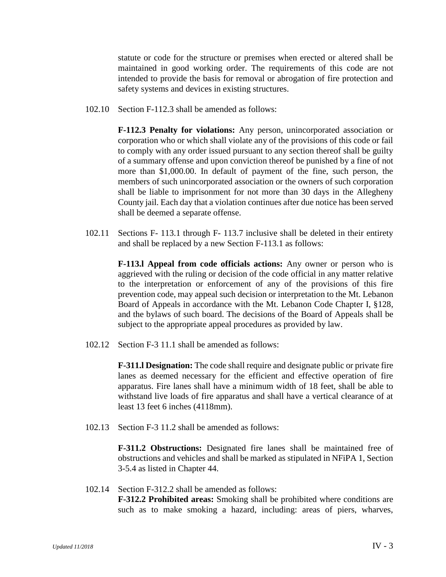statute or code for the structure or premises when erected or altered shall be maintained in good working order. The requirements of this code are not intended to provide the basis for removal or abrogation of fire protection and safety systems and devices in existing structures.

102.10 Section F-112.3 shall be amended as follows:

**F-112.3 Penalty for violations:** Any person, unincorporated association or corporation who or which shall violate any of the provisions of this code or fail to comply with any order issued pursuant to any section thereof shall be guilty of a summary offense and upon conviction thereof be punished by a fine of not more than \$1,000.00. In default of payment of the fine, such person, the members of such unincorporated association or the owners of such corporation shall be liable to imprisonment for not more than 30 days in the Allegheny County jail. Each day that a violation continues after due notice has been served shall be deemed a separate offense.

102.11 Sections F- 113.1 through F- 113.7 inclusive shall be deleted in their entirety and shall be replaced by a new Section F-113.1 as follows:

> **F-113.l Appeal from code officials actions:** Any owner or person who is aggrieved with the ruling or decision of the code official in any matter relative to the interpretation or enforcement of any of the provisions of this fire prevention code, may appeal such decision or interpretation to the Mt. Lebanon Board of Appeals in accordance with the Mt. Lebanon Code Chapter I, §128, and the bylaws of such board. The decisions of the Board of Appeals shall be subject to the appropriate appeal procedures as provided by law.

102.12 Section F-3 11.1 shall be amended as follows:

**F-311.l Designation:** The code shall require and designate public or private fire lanes as deemed necessary for the efficient and effective operation of fire apparatus. Fire lanes shall have a minimum width of 18 feet, shall be able to withstand live loads of fire apparatus and shall have a vertical clearance of at least 13 feet 6 inches (4118mm).

102.13 Section F-3 11.2 shall be amended as follows:

**F-311.2 Obstructions:** Designated fire lanes shall be maintained free of obstructions and vehicles and shall be marked as stipulated in NFiPA 1, Section 3-5.4 as listed in Chapter 44.

102.14 Section F-312.2 shall be amended as follows: **F-312.2 Prohibited areas:** Smoking shall be prohibited where conditions are such as to make smoking a hazard, including: areas of piers, wharves,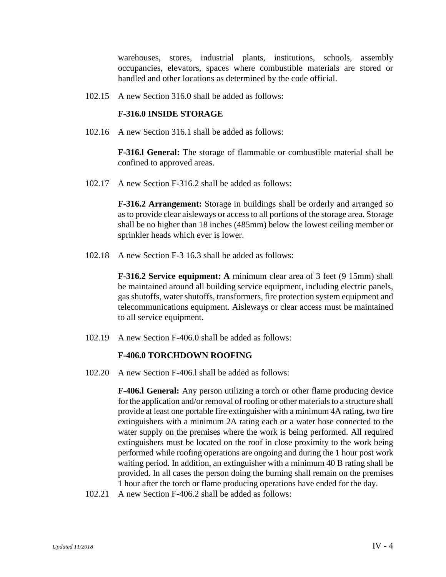warehouses, stores, industrial plants, institutions, schools, assembly occupancies, elevators, spaces where combustible materials are stored or handled and other locations as determined by the code official.

102.15 A new Section 316.0 shall be added as follows:

#### **F-316.0 INSIDE STORAGE**

102.16 A new Section 316.1 shall be added as follows:

**F-316.l General:** The storage of flammable or combustible material shall be confined to approved areas.

102.17 A new Section F-316.2 shall be added as follows:

**F-316.2 Arrangement:** Storage in buildings shall be orderly and arranged so as to provide clear aisleways or access to all portions of the storage area. Storage shall be no higher than 18 inches (485mm) below the lowest ceiling member or sprinkler heads which ever is lower.

102.18 A new Section F-3 16.3 shall be added as follows:

**F-316.2 Service equipment:** A minimum clear area of 3 feet (9 15mm) shall be maintained around all building service equipment, including electric panels, gas shutoffs, water shutoffs, transformers, fire protection system equipment and telecommunications equipment. Aisleways or clear access must be maintained to all service equipment.

102.19 A new Section F-406.0 shall be added as follows:

#### **F-406.0 TORCHDOWN ROOFING**

102.20 A new Section F-406.l shall be added as follows:

**F-406.l General:** Any person utilizing a torch or other flame producing device for the application and/or removal of roofing or other materials to a structure shall provide at least one portable fire extinguisher with a minimum 4A rating, two fire extinguishers with a minimum 2A rating each or a water hose connected to the water supply on the premises where the work is being performed. All required extinguishers must be located on the roof in close proximity to the work being performed while roofing operations are ongoing and during the 1 hour post work waiting period. In addition, an extinguisher with a minimum 40 B rating shall be provided. In all cases the person doing the burning shall remain on the premises 1 hour after the torch or flame producing operations have ended for the day.

102.21 A new Section F-406.2 shall be added as follows: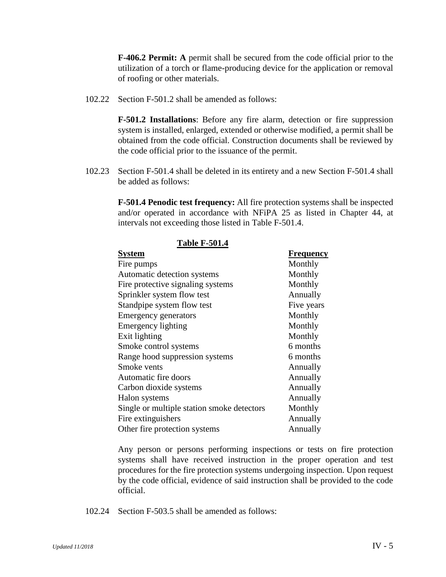**F-406.2 Permit: A** permit shall be secured from the code official prior to the utilization of a torch or flame-producing device for the application or removal of roofing or other materials.

102.22 Section F-501.2 shall be amended as follows:

**F-501.2 Installations**: Before any fire alarm, detection or fire suppression system is installed, enlarged, extended or otherwise modified, a permit shall be obtained from the code official. Construction documents shall be reviewed by the code official prior to the issuance of the permit.

102.23 Section F-501.4 shall be deleted in its entirety and a new Section F-501.4 shall be added as follows:

> **F-501.4 Penodic test frequency:** All fire protection systems shall be inspected and/or operated in accordance with NFiPA 25 as listed in Chapter 44, at intervals not exceeding those listed in Table F-501.4.

| <b>Table F-501.4</b>                       |            |
|--------------------------------------------|------------|
| <b>System</b>                              | Frequency  |
| Fire pumps                                 | Monthly    |
| Automatic detection systems                | Monthly    |
| Fire protective signaling systems          | Monthly    |
| Sprinkler system flow test                 | Annually   |
| Standpipe system flow test                 | Five years |
| <b>Emergency generators</b>                | Monthly    |
| Emergency lighting                         | Monthly    |
| Exit lighting                              | Monthly    |
| Smoke control systems                      | 6 months   |
| Range hood suppression systems             | 6 months   |
| Smoke vents                                | Annually   |
| Automatic fire doors                       | Annually   |
| Carbon dioxide systems                     | Annually   |
| Halon systems                              | Annually   |
| Single or multiple station smoke detectors | Monthly    |
| Fire extinguishers                         | Annually   |
| Other fire protection systems              | Annually   |

Any person or persons performing inspections or tests on fire protection systems shall have received instruction in the proper operation and test procedures for the fire protection systems undergoing inspection. Upon request by the code official, evidence of said instruction shall be provided to the code official.

102.24 Section F-503.5 shall be amended as follows: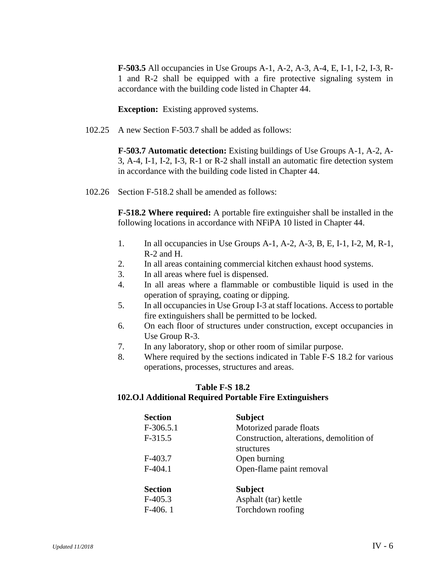**F-503.5** All occupancies in Use Groups A-1, A-2, A-3, A-4, E, I-1, I-2, I-3, R-1 and R-2 shall be equipped with a fire protective signaling system in accordance with the building code listed in Chapter 44.

**Exception:** Existing approved systems.

102.25 A new Section F-503.7 shall be added as follows:

**F-503.7 Automatic detection:** Existing buildings of Use Groups A-1, A-2, A-3, A-4, I-1, I-2, I-3, R-1 or R-2 shall install an automatic fire detection system in accordance with the building code listed in Chapter 44.

102.26 Section F-518.2 shall be amended as follows:

**F-518.2 Where required:** A portable fire extinguisher shall be installed in the following locations in accordance with NFiPA 10 listed in Chapter 44.

- 1. In all occupancies in Use Groups A-1, A-2, A-3, B, E, I-1, I-2, M, R-1, R-2 and H.
- 2. In all areas containing commercial kitchen exhaust hood systems.
- 3. In all areas where fuel is dispensed.
- 4. In all areas where a flammable or combustible liquid is used in the operation of spraying, coating or dipping.
- 5. In all occupancies in Use Group I-3 at staff locations. Access to portable fire extinguishers shall be permitted to be locked.
- 6. On each floor of structures under construction, except occupancies in Use Group R-3.
- 7. In any laboratory, shop or other room of similar purpose.
- 8. Where required by the sections indicated in Table F-S 18.2 for various operations, processes, structures and areas.

## **Table F-S 18.2**

#### **102.O.l Additional Required Portable Fire Extinguishers**

| <b>Section</b> | <b>Subject</b>                           |
|----------------|------------------------------------------|
| $F-306.5.1$    | Motorized parade floats                  |
| $F-315.5$      | Construction, alterations, demolition of |
|                | structures                               |
| $F-403.7$      | Open burning                             |
| $F-404.1$      | Open-flame paint removal                 |
|                |                                          |
| <b>Section</b> | <b>Subject</b>                           |
| $F-405.3$      | Asphalt (tar) kettle                     |
| $F-406.1$      | Torchdown roofing                        |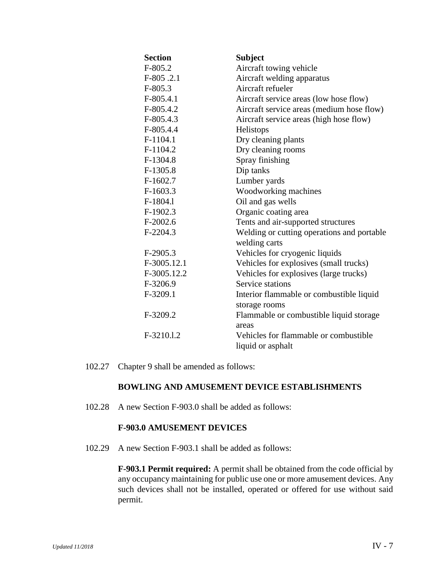| <b>Section</b> | <b>Subject</b>                             |
|----------------|--------------------------------------------|
| $F-805.2$      | Aircraft towing vehicle                    |
| $F-805.2.1$    | Aircraft welding apparatus                 |
| $F-805.3$      | Aircraft refueler                          |
| $F-805.4.1$    | Aircraft service areas (low hose flow)     |
| F-805.4.2      | Aircraft service areas (medium hose flow)  |
| $F-805.4.3$    | Aircraft service areas (high hose flow)    |
| F-805.4.4      | Helistops                                  |
| F-1104.1       | Dry cleaning plants                        |
| F-1104.2       | Dry cleaning rooms                         |
| F-1304.8       | Spray finishing                            |
| F-1305.8       | Dip tanks                                  |
| $F-1602.7$     | Lumber yards                               |
| $F-1603.3$     | Woodworking machines                       |
| F-1804.1       | Oil and gas wells                          |
| F-1902.3       | Organic coating area                       |
| $F-2002.6$     | Tents and air-supported structures         |
| F-2204.3       | Welding or cutting operations and portable |
|                | welding carts                              |
| $F-2905.3$     | Vehicles for cryogenic liquids             |
| F-3005.12.1    | Vehicles for explosives (small trucks)     |
| F-3005.12.2    | Vehicles for explosives (large trucks)     |
| F-3206.9       | Service stations                           |
| F-3209.1       | Interior flammable or combustible liquid   |
|                | storage rooms                              |
| F-3209.2       | Flammable or combustible liquid storage    |
|                | areas                                      |
| F-3210.1.2     | Vehicles for flammable or combustible      |
|                | liquid or asphalt                          |

102.27 Chapter 9 shall be amended as follows:

#### **BOWLING AND AMUSEMENT DEVICE ESTABLISHMENTS**

102.28 A new Section F-903.0 shall be added as follows:

#### **F-903.0 AMUSEMENT DEVICES**

102.29 A new Section F-903.1 shall be added as follows:

**F-903.1 Permit required:** A permit shall be obtained from the code official by any occupancy maintaining for public use one or more amusement devices. Any such devices shall not be installed, operated or offered for use without said permit.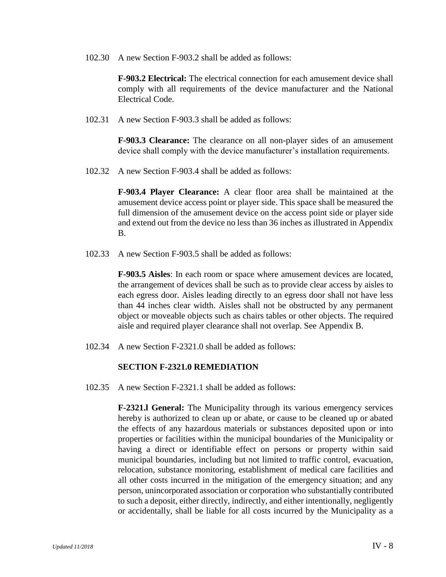102.30 A new Section F-903.2 shall be added as follows:

**F-903.2 Electrical:** The electrical connection for each amusement device shall comply with all requirements of the device manufacturer and the National Electrical Code.

102.31 A new Section F-903.3 shall be added as follows:

**F-903.3 Clearance:** The clearance on all non-player sides of an amusement device shall comply with the device manufacturer's installation requirements.

102.32 A new Section F-903.4 shall be added as follows:

**F-903.4 Player Clearance:** A clear floor area shall be maintained at the amusement device access point or player side. This space shall be measured the full dimension of the amusement device on the access point side or player side and extend out from the device no less than 36 inches as illustrated in Appendix B.

102.33 A new Section F-903.5 shall be added as follows:

**F-903.5 Aisles**: In each room or space where amusement devices are located, the arrangement of devices shall be such as to provide clear access by aisles to each egress door. Aisles leading directly to an egress door shall not have less than 44 inches clear width. Aisles shall not be obstructed by any permanent object or moveable objects such as chairs tables or other objects. The required aisle and required player clearance shall not overlap. See Appendix B.

102.34 A new Section F-2321.0 shall be added as follows:

#### **SECTION F-2321.0 REMEDIATION**

102.35 A new Section F-2321.1 shall be added as follows:

**F-2321.l General:** The Municipality through its various emergency services hereby is authorized to clean up or abate, or cause to be cleaned up or abated the effects of any hazardous materials or substances deposited upon or into properties or facilities within the municipal boundaries of the Municipality or having a direct or identifiable effect on persons or property within said municipal boundaries, including but not limited to traffic control, evacuation, relocation, substance monitoring, establishment of medical care facilities and all other costs incurred in the mitigation of the emergency situation; and any person, unincorporated association or corporation who substantially contributed to such a deposit, either directly, indirectly, and either intentionally, negligently or accidentally, shall be liable for all costs incurred by the Municipality as a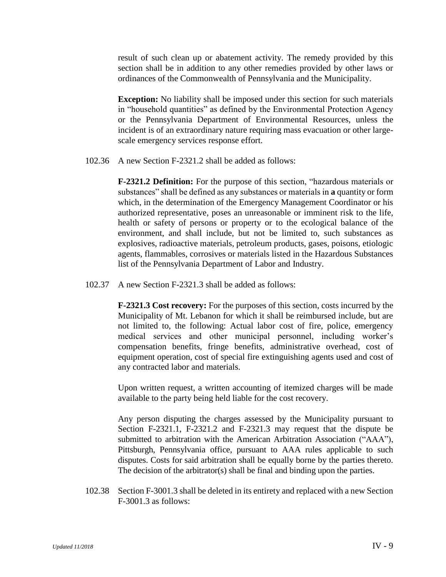result of such clean up or abatement activity. The remedy provided by this section shall be in addition to any other remedies provided by other laws or ordinances of the Commonwealth of Pennsylvania and the Municipality.

**Exception:** No liability shall be imposed under this section for such materials in "household quantities" as defined by the Environmental Protection Agency or the Pennsylvania Department of Environmental Resources, unless the incident is of an extraordinary nature requiring mass evacuation or other largescale emergency services response effort.

102.36 A new Section F-2321.2 shall be added as follows:

**F-2321.2 Definition:** For the purpose of this section, "hazardous materials or substances" shall be defined as any substances or materials in **a** quantity or form which, in the determination of the Emergency Management Coordinator or his authorized representative, poses an unreasonable or imminent risk to the life, health or safety of persons or property or to the ecological balance of the environment, and shall include, but not be limited to, such substances as explosives, radioactive materials, petroleum products, gases, poisons, etiologic agents, flammables, corrosives or materials listed in the Hazardous Substances list of the Pennsylvania Department of Labor and Industry.

102.37 A new Section F-2321.3 shall be added as follows:

**F-2321.3 Cost recovery:** For the purposes of this section, costs incurred by the Municipality of Mt. Lebanon for which it shall be reimbursed include, but are not limited to, the following: Actual labor cost of fire, police, emergency medical services and other municipal personnel, including worker's compensation benefits, fringe benefits, administrative overhead, cost of equipment operation, cost of special fire extinguishing agents used and cost of any contracted labor and materials.

Upon written request, a written accounting of itemized charges will be made available to the party being held liable for the cost recovery.

Any person disputing the charges assessed by the Municipality pursuant to Section F-2321.1, F-2321.2 and F-2321.3 may request that the dispute be submitted to arbitration with the American Arbitration Association ("AAA"), Pittsburgh, Pennsylvania office, pursuant to AAA rules applicable to such disputes. Costs for said arbitration shall be equally borne by the parties thereto. The decision of the arbitrator(s) shall be final and binding upon the parties.

102.38 Section F-3001.3 shall be deleted in its entirety and replaced with a new Section F-3001.3 as follows: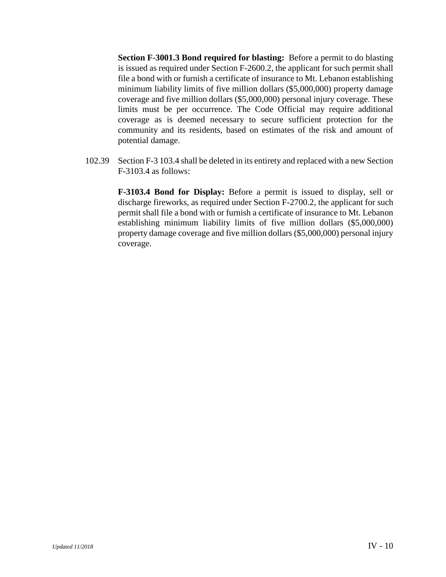**Section F-3001.3 Bond required for blasting:** Before a permit to do blasting is issued as required under Section F-2600.2, the applicant for such permit shall file a bond with or furnish a certificate of insurance to Mt. Lebanon establishing minimum liability limits of five million dollars (\$5,000,000) property damage coverage and five million dollars (\$5,000,000) personal injury coverage. These limits must be per occurrence. The Code Official may require additional coverage as is deemed necessary to secure sufficient protection for the community and its residents, based on estimates of the risk and amount of potential damage.

102.39 Section F-3 103.4 shall be deleted in its entirety and replaced with a new Section F-3103.4 as follows:

> **F-3103.4 Bond for Display:** Before a permit is issued to display, sell or discharge fireworks, as required under Section F-2700.2, the applicant for such permit shall file a bond with or furnish a certificate of insurance to Mt. Lebanon establishing minimum liability limits of five million dollars (\$5,000,000) property damage coverage and five million dollars (\$5,000,000) personal injury coverage.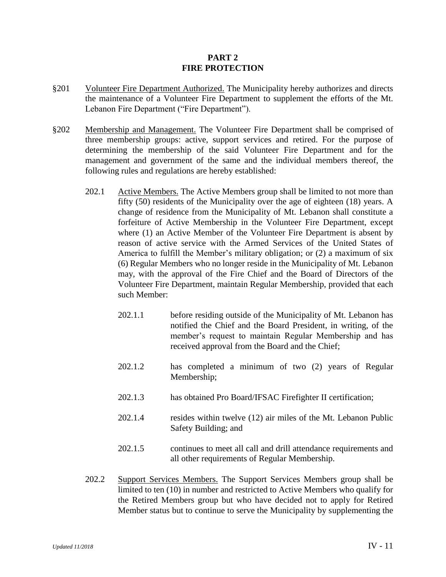#### **PART 2 FIRE PROTECTION**

- §201 Volunteer Fire Department Authorized. The Municipality hereby authorizes and directs the maintenance of a Volunteer Fire Department to supplement the efforts of the Mt. Lebanon Fire Department ("Fire Department").
- §202 Membership and Management. The Volunteer Fire Department shall be comprised of three membership groups: active, support services and retired. For the purpose of determining the membership of the said Volunteer Fire Department and for the management and government of the same and the individual members thereof, the following rules and regulations are hereby established:
	- 202.1 Active Members. The Active Members group shall be limited to not more than fifty (50) residents of the Municipality over the age of eighteen (18) years. A change of residence from the Municipality of Mt. Lebanon shall constitute a forfeiture of Active Membership in the Volunteer Fire Department, except where (1) an Active Member of the Volunteer Fire Department is absent by reason of active service with the Armed Services of the United States of America to fulfill the Member's military obligation; or (2) a maximum of six (6) Regular Members who no longer reside in the Municipality of Mt. Lebanon may, with the approval of the Fire Chief and the Board of Directors of the Volunteer Fire Department, maintain Regular Membership, provided that each such Member:
		- 202.1.1 before residing outside of the Municipality of Mt. Lebanon has notified the Chief and the Board President, in writing, of the member's request to maintain Regular Membership and has received approval from the Board and the Chief;
		- 202.1.2 has completed a minimum of two (2) years of Regular Membership;
		- 202.1.3 has obtained Pro Board/IFSAC Firefighter II certification;
		- 202.1.4 resides within twelve (12) air miles of the Mt. Lebanon Public Safety Building; and
		- 202.1.5 continues to meet all call and drill attendance requirements and all other requirements of Regular Membership.
	- 202.2 Support Services Members. The Support Services Members group shall be limited to ten (10) in number and restricted to Active Members who qualify for the Retired Members group but who have decided not to apply for Retired Member status but to continue to serve the Municipality by supplementing the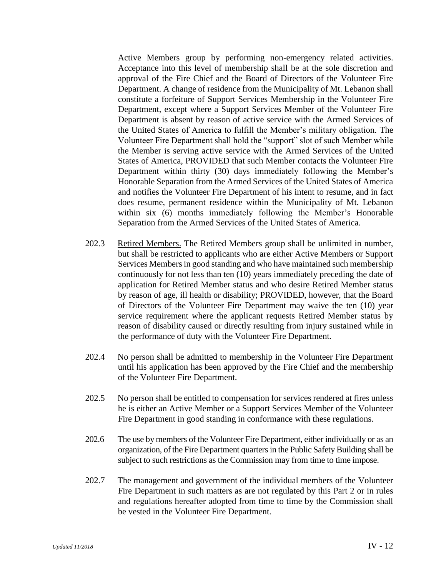Active Members group by performing non-emergency related activities. Acceptance into this level of membership shall be at the sole discretion and approval of the Fire Chief and the Board of Directors of the Volunteer Fire Department. A change of residence from the Municipality of Mt. Lebanon shall constitute a forfeiture of Support Services Membership in the Volunteer Fire Department, except where a Support Services Member of the Volunteer Fire Department is absent by reason of active service with the Armed Services of the United States of America to fulfill the Member's military obligation. The Volunteer Fire Department shall hold the "support" slot of such Member while the Member is serving active service with the Armed Services of the United States of America, PROVIDED that such Member contacts the Volunteer Fire Department within thirty (30) days immediately following the Member's Honorable Separation from the Armed Services of the United States of America and notifies the Volunteer Fire Department of his intent to resume, and in fact does resume, permanent residence within the Municipality of Mt. Lebanon within six (6) months immediately following the Member's Honorable Separation from the Armed Services of the United States of America.

- 202.3 Retired Members. The Retired Members group shall be unlimited in number, but shall be restricted to applicants who are either Active Members or Support Services Members in good standing and who have maintained such membership continuously for not less than ten (10) years immediately preceding the date of application for Retired Member status and who desire Retired Member status by reason of age, ill health or disability; PROVIDED, however, that the Board of Directors of the Volunteer Fire Department may waive the ten (10) year service requirement where the applicant requests Retired Member status by reason of disability caused or directly resulting from injury sustained while in the performance of duty with the Volunteer Fire Department.
- 202.4 No person shall be admitted to membership in the Volunteer Fire Department until his application has been approved by the Fire Chief and the membership of the Volunteer Fire Department.
- 202.5 No person shall be entitled to compensation for services rendered at fires unless he is either an Active Member or a Support Services Member of the Volunteer Fire Department in good standing in conformance with these regulations.
- 202.6 The use by members of the Volunteer Fire Department, either individually or as an organization, of the Fire Department quarters in the Public Safety Building shall be subject to such restrictions as the Commission may from time to time impose.
- 202.7 The management and government of the individual members of the Volunteer Fire Department in such matters as are not regulated by this Part 2 or in rules and regulations hereafter adopted from time to time by the Commission shall be vested in the Volunteer Fire Department.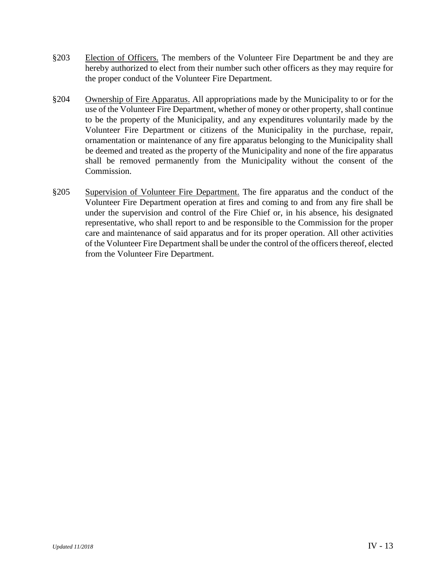- §203 Election of Officers. The members of the Volunteer Fire Department be and they are hereby authorized to elect from their number such other officers as they may require for the proper conduct of the Volunteer Fire Department.
- §204 Ownership of Fire Apparatus. All appropriations made by the Municipality to or for the use of the Volunteer Fire Department, whether of money or other property, shall continue to be the property of the Municipality, and any expenditures voluntarily made by the Volunteer Fire Department or citizens of the Municipality in the purchase, repair, ornamentation or maintenance of any fire apparatus belonging to the Municipality shall be deemed and treated as the property of the Municipality and none of the fire apparatus shall be removed permanently from the Municipality without the consent of the Commission.
- §205 Supervision of Volunteer Fire Department. The fire apparatus and the conduct of the Volunteer Fire Department operation at fires and coming to and from any fire shall be under the supervision and control of the Fire Chief or, in his absence, his designated representative, who shall report to and be responsible to the Commission for the proper care and maintenance of said apparatus and for its proper operation. All other activities of the Volunteer Fire Department shall be under the control of the officers thereof, elected from the Volunteer Fire Department.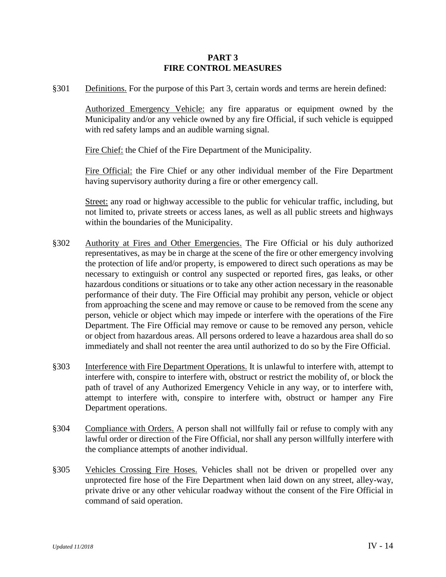#### **PART 3 FIRE CONTROL MEASURES**

§301 Definitions. For the purpose of this Part 3, certain words and terms are herein defined:

Authorized Emergency Vehicle: any fire apparatus or equipment owned by the Municipality and/or any vehicle owned by any fire Official, if such vehicle is equipped with red safety lamps and an audible warning signal.

Fire Chief: the Chief of the Fire Department of the Municipality.

Fire Official: the Fire Chief or any other individual member of the Fire Department having supervisory authority during a fire or other emergency call.

Street: any road or highway accessible to the public for vehicular traffic, including, but not limited to, private streets or access lanes, as well as all public streets and highways within the boundaries of the Municipality.

- §302 Authority at Fires and Other Emergencies. The Fire Official or his duly authorized representatives, as may be in charge at the scene of the fire or other emergency involving the protection of life and/or property, is empowered to direct such operations as may be necessary to extinguish or control any suspected or reported fires, gas leaks, or other hazardous conditions or situations or to take any other action necessary in the reasonable performance of their duty. The Fire Official may prohibit any person, vehicle or object from approaching the scene and may remove or cause to be removed from the scene any person, vehicle or object which may impede or interfere with the operations of the Fire Department. The Fire Official may remove or cause to be removed any person, vehicle or object from hazardous areas. All persons ordered to leave a hazardous area shall do so immediately and shall not reenter the area until authorized to do so by the Fire Official.
- §303 Interference with Fire Department Operations. It is unlawful to interfere with, attempt to interfere with, conspire to interfere with, obstruct or restrict the mobility of, or block the path of travel of any Authorized Emergency Vehicle in any way, or to interfere with, attempt to interfere with, conspire to interfere with, obstruct or hamper any Fire Department operations.
- §304 Compliance with Orders. A person shall not willfully fail or refuse to comply with any lawful order or direction of the Fire Official, nor shall any person willfully interfere with the compliance attempts of another individual.
- §305 Vehicles Crossing Fire Hoses. Vehicles shall not be driven or propelled over any unprotected fire hose of the Fire Department when laid down on any street, alley-way, private drive or any other vehicular roadway without the consent of the Fire Official in command of said operation.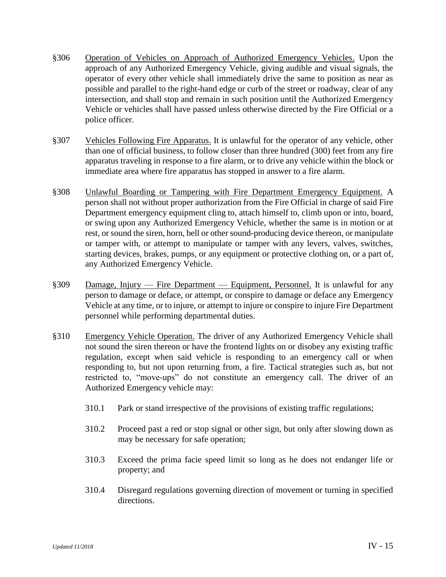- §306 Operation of Vehicles on Approach of Authorized Emergency Vehicles. Upon the approach of any Authorized Emergency Vehicle, giving audible and visual signals, the operator of every other vehicle shall immediately drive the same to position as near as possible and parallel to the right-hand edge or curb of the street or roadway, clear of any intersection, and shall stop and remain in such position until the Authorized Emergency Vehicle or vehicles shall have passed unless otherwise directed by the Fire Official or a police officer.
- §307 Vehicles Following Fire Apparatus. It is unlawful for the operator of any vehicle, other than one of official business, to follow closer than three hundred (300) feet from any fire apparatus traveling in response to a fire alarm, or to drive any vehicle within the block or immediate area where fire apparatus has stopped in answer to a fire alarm.
- §308 Unlawful Boarding or Tampering with Fire Department Emergency Equipment. A person shall not without proper authorization from the Fire Official in charge of said Fire Department emergency equipment cling to, attach himself to, climb upon or into, board, or swing upon any Authorized Emergency Vehicle, whether the same is in motion or at rest, or sound the siren, horn, bell or other sound-producing device thereon, or manipulate or tamper with, or attempt to manipulate or tamper with any levers, valves, switches, starting devices, brakes, pumps, or any equipment or protective clothing on, or a part of, any Authorized Emergency Vehicle.
- §309 Damage, Injury Fire Department Equipment, Personnel. It is unlawful for any person to damage or deface, or attempt, or conspire to damage or deface any Emergency Vehicle at any time, or to injure, or attempt to injure or conspire to injure Fire Department personnel while performing departmental duties.
- §310 Emergency Vehicle Operation. The driver of any Authorized Emergency Vehicle shall not sound the siren thereon or have the frontend lights on or disobey any existing traffic regulation, except when said vehicle is responding to an emergency call or when responding to, but not upon returning from, a fire. Tactical strategies such as, but not restricted to, "move-ups" do not constitute an emergency call. The driver of an Authorized Emergency vehicle may:
	- 310.1 Park or stand irrespective of the provisions of existing traffic regulations;
	- 310.2 Proceed past a red or stop signal or other sign, but only after slowing down as may be necessary for safe operation;
	- 310.3 Exceed the prima facie speed limit so long as he does not endanger life or property; and
	- 310.4 Disregard regulations governing direction of movement or turning in specified directions.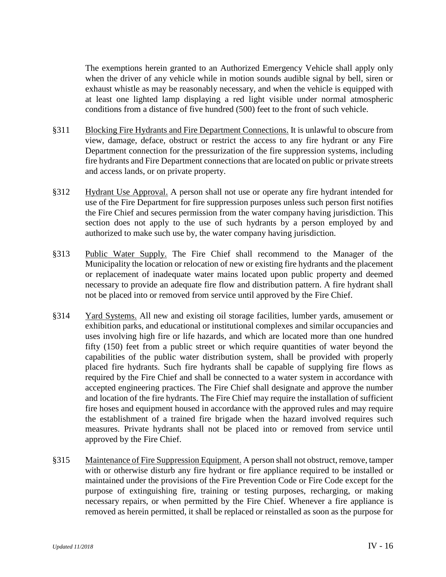The exemptions herein granted to an Authorized Emergency Vehicle shall apply only when the driver of any vehicle while in motion sounds audible signal by bell, siren or exhaust whistle as may be reasonably necessary, and when the vehicle is equipped with at least one lighted lamp displaying a red light visible under normal atmospheric conditions from a distance of five hundred (500) feet to the front of such vehicle.

- §311 Blocking Fire Hydrants and Fire Department Connections. It is unlawful to obscure from view, damage, deface, obstruct or restrict the access to any fire hydrant or any Fire Department connection for the pressurization of the fire suppression systems, including fire hydrants and Fire Department connections that are located on public or private streets and access lands, or on private property.
- §312 Hydrant Use Approval. A person shall not use or operate any fire hydrant intended for use of the Fire Department for fire suppression purposes unless such person first notifies the Fire Chief and secures permission from the water company having jurisdiction. This section does not apply to the use of such hydrants by a person employed by and authorized to make such use by, the water company having jurisdiction.
- §313 Public Water Supply. The Fire Chief shall recommend to the Manager of the Municipality the location or relocation of new or existing fire hydrants and the placement or replacement of inadequate water mains located upon public property and deemed necessary to provide an adequate fire flow and distribution pattern. A fire hydrant shall not be placed into or removed from service until approved by the Fire Chief.
- §314 Yard Systems. All new and existing oil storage facilities, lumber yards, amusement or exhibition parks, and educational or institutional complexes and similar occupancies and uses involving high fire or life hazards, and which are located more than one hundred fifty (150) feet from a public street or which require quantities of water beyond the capabilities of the public water distribution system, shall be provided with properly placed fire hydrants. Such fire hydrants shall be capable of supplying fire flows as required by the Fire Chief and shall be connected to a water system in accordance with accepted engineering practices. The Fire Chief shall designate and approve the number and location of the fire hydrants. The Fire Chief may require the installation of sufficient fire hoses and equipment housed in accordance with the approved rules and may require the establishment of a trained fire brigade when the hazard involved requires such measures. Private hydrants shall not be placed into or removed from service until approved by the Fire Chief.
- §315 Maintenance of Fire Suppression Equipment. A person shall not obstruct, remove, tamper with or otherwise disturb any fire hydrant or fire appliance required to be installed or maintained under the provisions of the Fire Prevention Code or Fire Code except for the purpose of extinguishing fire, training or testing purposes, recharging, or making necessary repairs, or when permitted by the Fire Chief. Whenever a fire appliance is removed as herein permitted, it shall be replaced or reinstalled as soon as the purpose for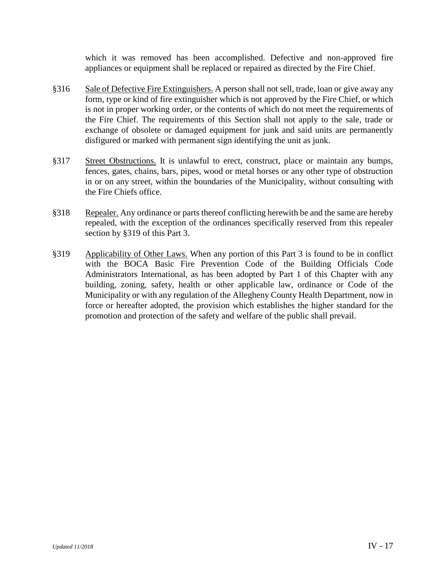which it was removed has been accomplished. Defective and non-approved fire appliances or equipment shall be replaced or repaired as directed by the Fire Chief.

- §316 Sale of Defective Fire Extinguishers. A person shall not sell, trade, loan or give away any form, type or kind of fire extinguisher which is not approved by the Fire Chief, or which is not in proper working order, or the contents of which do not meet the requirements of the Fire Chief. The requirements of this Section shall not apply to the sale, trade or exchange of obsolete or damaged equipment for junk and said units are permanently disfigured or marked with permanent sign identifying the unit as junk.
- §317 Street Obstructions. It is unlawful to erect, construct, place or maintain any bumps, fences, gates, chains, bars, pipes, wood or metal horses or any other type of obstruction in or on any street, within the boundaries of the Municipality, without consulting with the Fire Chiefs office.
- §318 Repealer. Any ordinance or parts thereof conflicting herewith be and the same are hereby repealed, with the exception of the ordinances specifically reserved from this repealer section by §319 of this Part 3.
- §319 Applicability of Other Laws. When any portion of this Part 3 is found to be in conflict with the BOCA Basic Fire Prevention Code of the Building Officials Code Administrators International, as has been adopted by Part 1 of this Chapter with any building, zoning, safety, health or other applicable law, ordinance or Code of the Municipality or with any regulation of the Allegheny County Health Department, now in force or hereafter adopted, the provision which establishes the higher standard for the promotion and protection of the safety and welfare of the public shall prevail.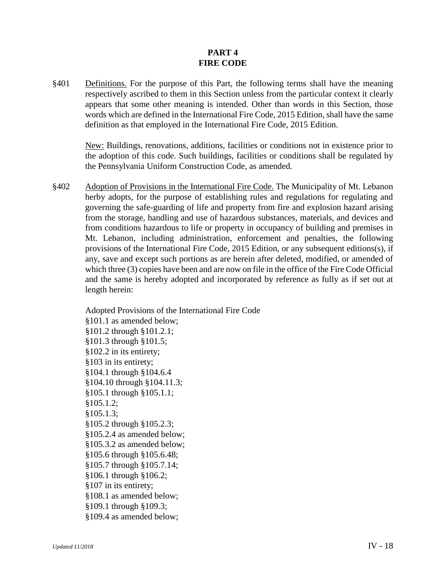## **PART 4 FIRE CODE**

§401 Definitions. For the purpose of this Part, the following terms shall have the meaning respectively ascribed to them in this Section unless from the particular context it clearly appears that some other meaning is intended. Other than words in this Section, those words which are defined in the International Fire Code, 2015 Edition, shall have the same definition as that employed in the International Fire Code, 2015 Edition.

New: Buildings, renovations, additions, facilities or conditions not in existence prior to the adoption of this code. Such buildings, facilities or conditions shall be regulated by the Pennsylvania Uniform Construction Code, as amended.

§402 Adoption of Provisions in the International Fire Code. The Municipality of Mt. Lebanon herby adopts, for the purpose of establishing rules and regulations for regulating and governing the safe-guarding of life and property from fire and explosion hazard arising from the storage, handling and use of hazardous substances, materials, and devices and from conditions hazardous to life or property in occupancy of building and premises in Mt. Lebanon, including administration, enforcement and penalties, the following provisions of the International Fire Code, 2015 Edition, or any subsequent editions(s), if any, save and except such portions as are herein after deleted, modified, or amended of which three (3) copies have been and are now on file in the office of the Fire Code Official and the same is hereby adopted and incorporated by reference as fully as if set out at length herein:

Adopted Provisions of the International Fire Code §101.1 as amended below; §101.2 through §101.2.1; §101.3 through §101.5; §102.2 in its entirety; §103 in its entirety; §104.1 through §104.6.4 §104.10 through §104.11.3; §105.1 through §105.1.1; §105.1.2; §105.1.3; §105.2 through §105.2.3; §105.2.4 as amended below; §105.3.2 as amended below; §105.6 through §105.6.48; §105.7 through §105.7.14; §106.1 through §106.2; §107 in its entirety; §108.1 as amended below; §109.1 through §109.3; §109.4 as amended below;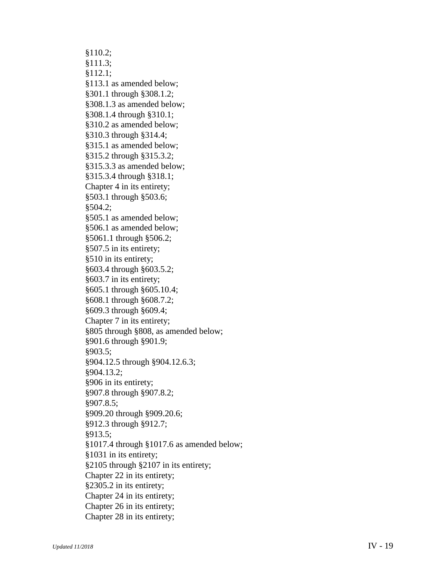§110.2; §111.3; §112.1; §113.1 as amended below; §301.1 through §308.1.2; §308.1.3 as amended below; §308.1.4 through §310.1; §310.2 as amended below; §310.3 through §314.4; §315.1 as amended below; §315.2 through §315.3.2; §315.3.3 as amended below; §315.3.4 through §318.1; Chapter 4 in its entirety; §503.1 through §503.6; §504.2; §505.1 as amended below; §506.1 as amended below; §5061.1 through §506.2; §507.5 in its entirety; §510 in its entirety; §603.4 through §603.5.2; §603.7 in its entirety; §605.1 through §605.10.4; §608.1 through §608.7.2; §609.3 through §609.4; Chapter 7 in its entirety; §805 through §808, as amended below; §901.6 through §901.9; §903.5; §904.12.5 through §904.12.6.3; §904.13.2; §906 in its entirety; §907.8 through §907.8.2; §907.8.5; §909.20 through §909.20. 6 ; §912.3 through §912. 7 ; §913.5; §1017.4 through §1017.6 as amended below; §103 1 in its entirety; §2105 through §2107 in its entirety; Chapter 22 in its entirety; §2305.2 in its entirety; Chapter 24 in its entirety; Chapter 26 in its entirety; Chapter 28 in its entirety;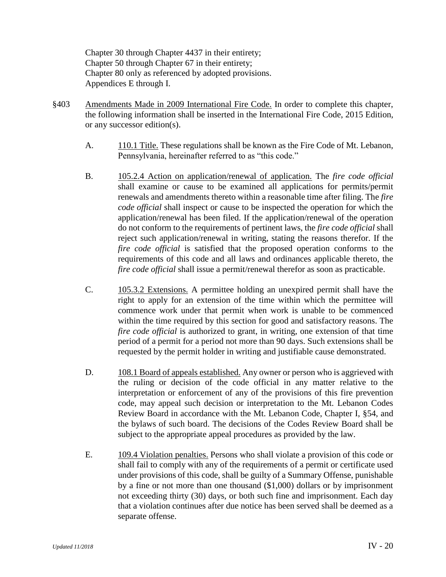Chapter 30 through Chapter 4437 in their entirety; Chapter 50 through Chapter 67 in their entirety; Chapter 80 only as referenced by adopted provisions. Appendices E through I.

- §403 Amendments Made in 2009 International Fire Code. In order to complete this chapter, the following information shall be inserted in the International Fire Code, 2015 Edition, or any successor edition(s).
	- A. 110.1 Title. These regulations shall be known as the Fire Code of Mt. Lebanon, Pennsylvania, hereinafter referred to as "this code."
	- B. 105.2.4 Action on application/renewal of application. The *fire code official* shall examine or cause to be examined all applications for permits/permit renewals and amendments thereto within a reasonable time after filing. The *fire code official* shall inspect or cause to be inspected the operation for which the application/renewal has been filed. If the application/renewal of the operation do not conform to the requirements of pertinent laws, the *fire code official* shall reject such application/renewal in writing, stating the reasons therefor. If the *fire code official* is satisfied that the proposed operation conforms to the requirements of this code and all laws and ordinances applicable thereto, the *fire code official* shall issue a permit/renewal therefor as soon as practicable.
	- C. 105.3.2 Extensions. A permittee holding an unexpired permit shall have the right to apply for an extension of the time within which the permittee will commence work under that permit when work is unable to be commenced within the time required by this section for good and satisfactory reasons. The *fire code official* is authorized to grant, in writing, one extension of that time period of a permit for a period not more than 90 days. Such extensions shall be requested by the permit holder in writing and justifiable cause demonstrated.
	- D. 108.1 Board of appeals established. Any owner or person who is aggrieved with the ruling or decision of the code official in any matter relative to the interpretation or enforcement of any of the provisions of this fire prevention code, may appeal such decision or interpretation to the Mt. Lebanon Codes Review Board in accordance with the Mt. Lebanon Code, Chapter I, §54, and the bylaws of such board. The decisions of the Codes Review Board shall be subject to the appropriate appeal procedures as provided by the law.
	- E. 109.4 Violation penalties. Persons who shall violate a provision of this code or shall fail to comply with any of the requirements of a permit or certificate used under provisions of this code, shall be guilty of a Summary Offense, punishable by a fine or not more than one thousand (\$1,000) dollars or by imprisonment not exceeding thirty (30) days, or both such fine and imprisonment. Each day that a violation continues after due notice has been served shall be deemed as a separate offense.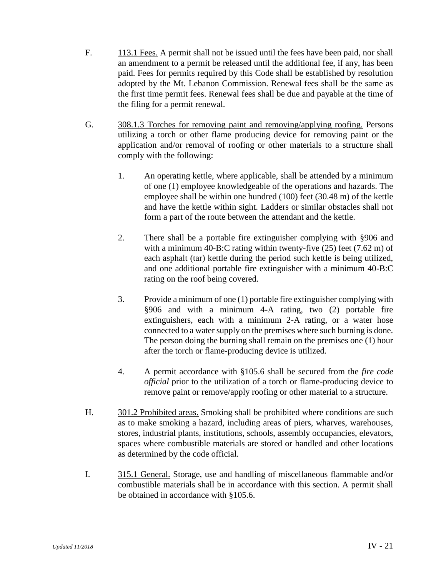- F. 113.1 Fees. A permit shall not be issued until the fees have been paid, nor shall an amendment to a permit be released until the additional fee, if any, has been paid. Fees for permits required by this Code shall be established by resolution adopted by the Mt. Lebanon Commission. Renewal fees shall be the same as the first time permit fees. Renewal fees shall be due and payable at the time of the filing for a permit renewal.
- G. 308.1.3 Torches for removing paint and removing/applying roofing. Persons utilizing a torch or other flame producing device for removing paint or the application and/or removal of roofing or other materials to a structure shall comply with the following:
	- 1. An operating kettle, where applicable, shall be attended by a minimum of one (1) employee knowledgeable of the operations and hazards. The employee shall be within one hundred (100) feet (30.48 m) of the kettle and have the kettle within sight. Ladders or similar obstacles shall not form a part of the route between the attendant and the kettle.
	- 2. There shall be a portable fire extinguisher complying with §906 and with a minimum 40-B:C rating within twenty-five (25) feet (7.62 m) of each asphalt (tar) kettle during the period such kettle is being utilized, and one additional portable fire extinguisher with a minimum 40-B:C rating on the roof being covered.
	- 3. Provide a minimum of one (1) portable fire extinguisher complying with §906 and with a minimum 4-A rating, two (2) portable fire extinguishers, each with a minimum 2-A rating, or a water hose connected to a water supply on the premises where such burning is done. The person doing the burning shall remain on the premises one (1) hour after the torch or flame-producing device is utilized.
	- 4. A permit accordance with §105.6 shall be secured from the *fire code official* prior to the utilization of a torch or flame-producing device to remove paint or remove/apply roofing or other material to a structure.
- H. 301.2 Prohibited areas. Smoking shall be prohibited where conditions are such as to make smoking a hazard, including areas of piers, wharves, warehouses, stores, industrial plants, institutions, schools, assembly occupancies, elevators, spaces where combustible materials are stored or handled and other locations as determined by the code official.
- I. 315.1 General. Storage, use and handling of miscellaneous flammable and/or combustible materials shall be in accordance with this section. A permit shall be obtained in accordance with §105.6.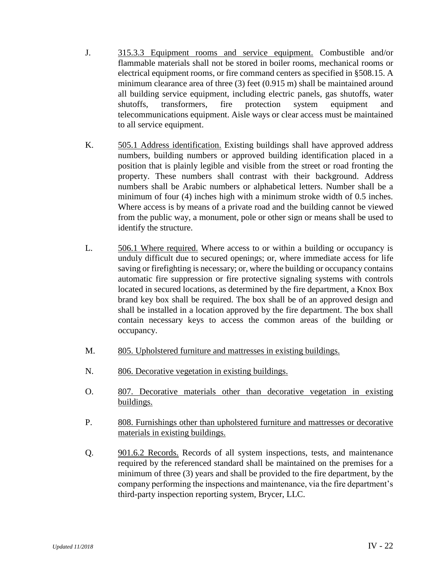- J. 315.3.3 Equipment rooms and service equipment. Combustible and/or flammable materials shall not be stored in boiler rooms, mechanical rooms or electrical equipment rooms, or fire command centers as specified in §508.15. A minimum clearance area of three (3) feet (0.915 m) shall be maintained around all building service equipment, including electric panels, gas shutoffs, water shutoffs, transformers, fire protection system equipment and telecommunications equipment. Aisle ways or clear access must be maintained to all service equipment.
- K. 505.1 Address identification. Existing buildings shall have approved address numbers, building numbers or approved building identification placed in a position that is plainly legible and visible from the street or road fronting the property. These numbers shall contrast with their background. Address numbers shall be Arabic numbers or alphabetical letters. Number shall be a minimum of four (4) inches high with a minimum stroke width of 0.5 inches. Where access is by means of a private road and the building cannot be viewed from the public way, a monument, pole or other sign or means shall be used to identify the structure.
- L. 506.1 Where required. Where access to or within a building or occupancy is unduly difficult due to secured openings; or, where immediate access for life saving or firefighting is necessary; or, where the building or occupancy contains automatic fire suppression or fire protective signaling systems with controls located in secured locations, as determined by the fire department, a Knox Box brand key box shall be required. The box shall be of an approved design and shall be installed in a location approved by the fire department. The box shall contain necessary keys to access the common areas of the building or occupancy.
- M. 805. Upholstered furniture and mattresses in existing buildings.
- N. 806. Decorative vegetation in existing buildings.
- O. 807. Decorative materials other than decorative vegetation in existing buildings.
- P. 808. Furnishings other than upholstered furniture and mattresses or decorative materials in existing buildings.
- Q. 901.6.2 Records. Records of all system inspections, tests, and maintenance required by the referenced standard shall be maintained on the premises for a minimum of three (3) years and shall be provided to the fire department, by the company performing the inspections and maintenance, via the fire department's third-party inspection reporting system, Brycer, LLC.